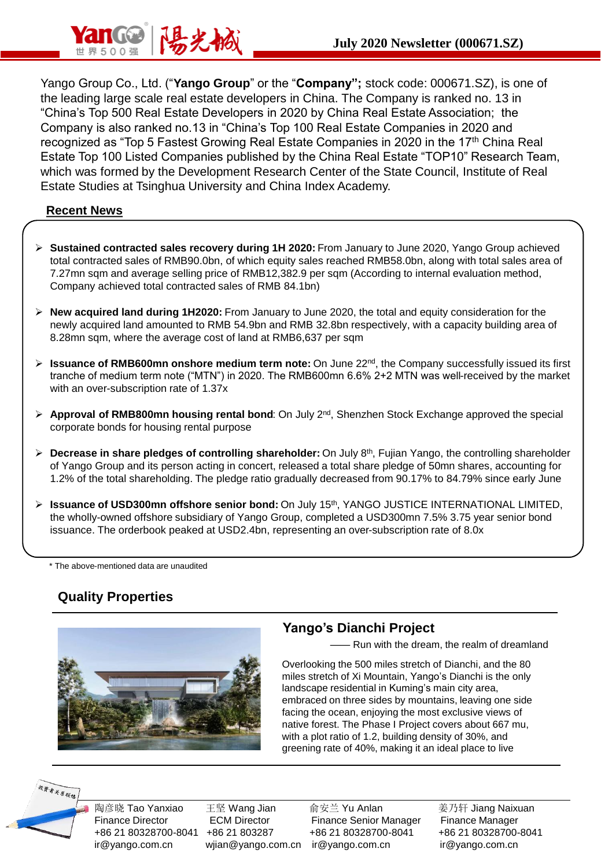

Yango Group Co., Ltd. ("**Yango Group**" or the "**Company";** stock code: 000671.SZ), is one of the leading large scale real estate developers in China. The Company is ranked no. 13 in "China's Top 500 Real Estate Developers in 2020 by China Real Estate Association; the Company is also ranked no.13 in "China's Top 100 Real Estate Companies in 2020 and recognized as "Top 5 Fastest Growing Real Estate Companies in 2020 in the 17<sup>th</sup> China Real Estate Top 100 Listed Companies published by the China Real Estate "TOP10" Research Team, which was formed by the Development Research Center of the State Council, Institute of Real Estate Studies at Tsinghua University and China Index Academy.

#### **Recent News**

- ➢ **Sustained contracted sales recovery during 1H 2020:** From January to June 2020, Yango Group achieved total contracted sales of RMB90.0bn, of which equity sales reached RMB58.0bn, along with total sales area of 7.27mn sqm and average selling price of RMB12,382.9 per sqm (According to internal evaluation method, Company achieved total contracted sales of RMB 84.1bn)
- ➢ **New acquired land during 1H2020:** From January to June 2020, the total and equity consideration for the newly acquired land amounted to RMB 54.9bn and RMB 32.8bn respectively, with a capacity building area of 8.28mn sqm, where the average cost of land at RMB6,637 per sqm
- ➢ **Issuance of RMB600mn onshore medium term note:** On June 22nd, the Company successfully issued its first tranche of medium term note ("MTN") in 2020. The RMB600mn 6.6% 2+2 MTN was well-received by the market with an over-subscription rate of 1.37x
- ➢ **Approval of RMB800mn housing rental bond**: On July 2nd, Shenzhen Stock Exchange approved the special corporate bonds for housing rental purpose
- ➢ **Decrease in share pledges of controlling shareholder:** On July 8th, Fujian Yango, the controlling shareholder of Yango Group and its person acting in concert, released a total share pledge of 50mn shares, accounting for 1.2% of the total shareholding. The pledge ratio gradually decreased from 90.17% to 84.79% since early June
- ➢ **Issuance of USD300mn offshore senior bond:** On July 15th, YANGO JUSTICE INTERNATIONAL LIMITED, the wholly-owned offshore subsidiary of Yango Group, completed a USD300mn 7.5% 3.75 year senior bond issuance. The orderbook peaked at USD2.4bn, representing an over-subscription rate of 8.0x

\* The above-mentioned data are unaudited

# **Quality Properties**



#### **Yango's Dianchi Project**

- Run with the dream, the realm of dreamland

Overlooking the 500 miles stretch of Dianchi, and the 80 miles stretch of Xi Mountain, Yango's Dianchi is the only landscape residential in Kuming's main city area, embraced on three sides by mountains, leaving one side facing the ocean, enjoying the most exclusive views of native forest. The Phase I Project covers about 667 mu, with a plot ratio of 1.2, building density of 30%, and greening rate of 40%, making it an ideal place to live



陶彦晓 Tao Yanxiao 在坚 Wang Jian 高安兰 Yu Anlan 3 姜乃轩 Jiang Naixuan Finance Director ECM Director Finance Senior Manager Finance Manager +86 21 80328700-8041 +86 21 803287 +86 21 80328700-8041 +86 21 80328700-8041 ir@yango.com.cn wjian@yango.com.cn ir@yango.com.cn ir@yango.com.cn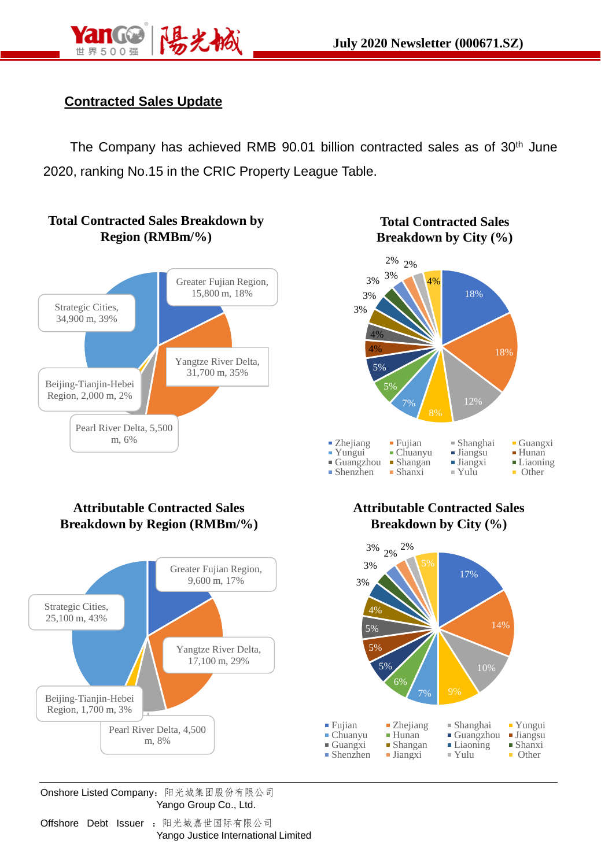

## **Contracted Sales Update**

The Company has achieved RMB 90.01 billion contracted sales as of 30<sup>th</sup> June 2020, ranking No.15 in the CRIC Property League Table.



### **Total Contracted Sales Breakdown by City (%)**



#### **Attributable Contracted Sales Breakdown by Region (RMBm/%)**



**Attributable Contracted Sales Breakdown by City (%)**



Onshore Listed Company:阳光城集团股份有限公司 Yango Group Co., Ltd.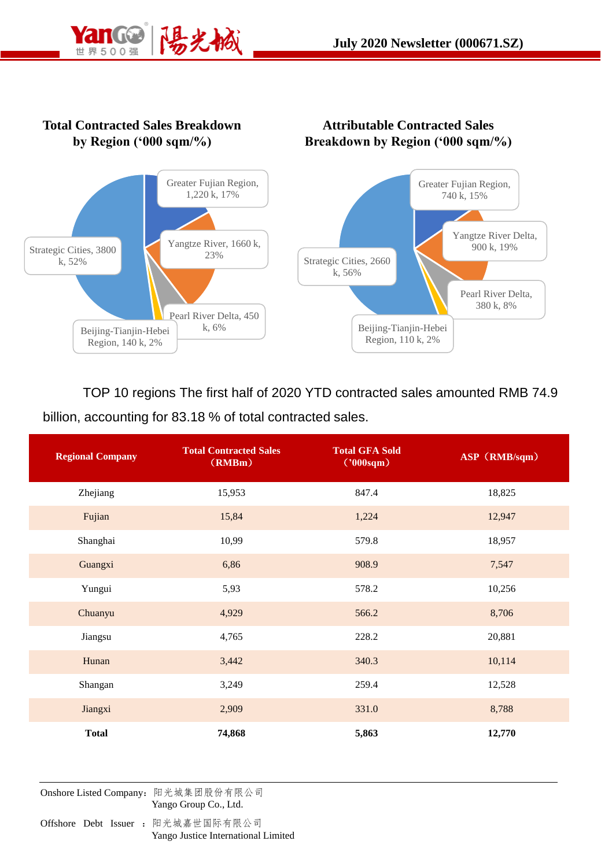



TOP 10 regions The first half of 2020 YTD contracted sales amounted RMB 74.9 billion, accounting for 83.18 % of total contracted sales.

| <b>Regional Company</b> | <b>Total Contracted Sales</b><br>(RMBm) | <b>Total GFA Sold</b><br>('000sqm) | ASP (RMB/sqm) |
|-------------------------|-----------------------------------------|------------------------------------|---------------|
| Zhejiang                | 15,953                                  | 847.4                              | 18,825        |
| Fujian                  | 15,84                                   | 1,224                              | 12,947        |
| Shanghai                | 10,99                                   | 579.8                              | 18,957        |
| Guangxi                 | 6,86                                    | 908.9                              | 7,547         |
| Yungui                  | 5,93                                    | 578.2                              | 10,256        |
| Chuanyu                 | 4,929                                   | 566.2                              | 8,706         |
| Jiangsu                 | 4,765                                   | 228.2                              | 20,881        |
| Hunan                   | 3,442                                   | 340.3                              | 10,114        |
| Shangan                 | 3,249                                   | 259.4                              | 12,528        |
| Jiangxi                 | 2,909                                   | 331.0                              | 8,788         |
| <b>Total</b>            | 74,868                                  | 5,863                              | 12,770        |

Onshore Listed Company:阳光城集团股份有限公司 Yango Group Co., Ltd.

Offshore Debt Issuer : 阳光城嘉世国际有限公司 Yango Justice International Limited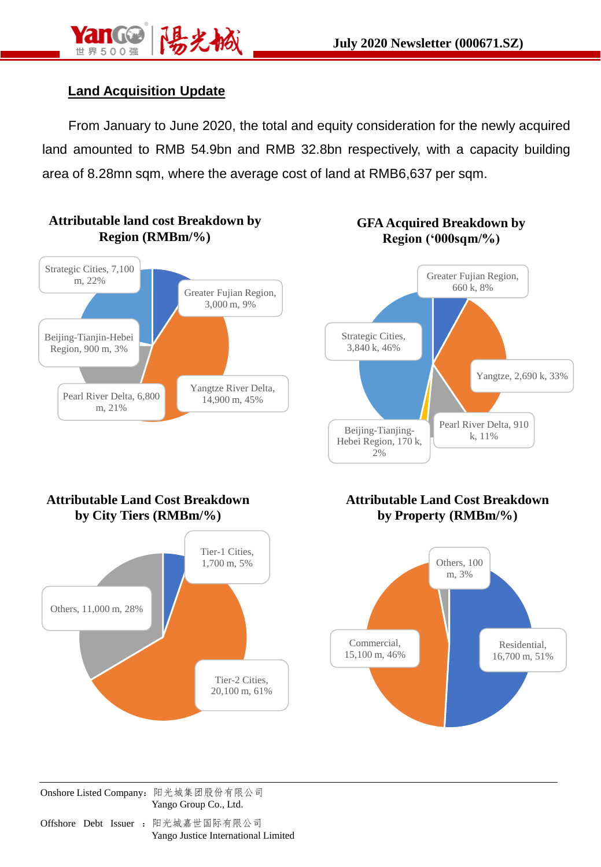

## **Land Acquisition Update**

From January to June 2020, the total and equity consideration for the newly acquired land amounted to RMB 54.9bn and RMB 32.8bn respectively, with a capacity building area of 8.28mn sqm, where the average cost of land at RMB6,637 per sqm.

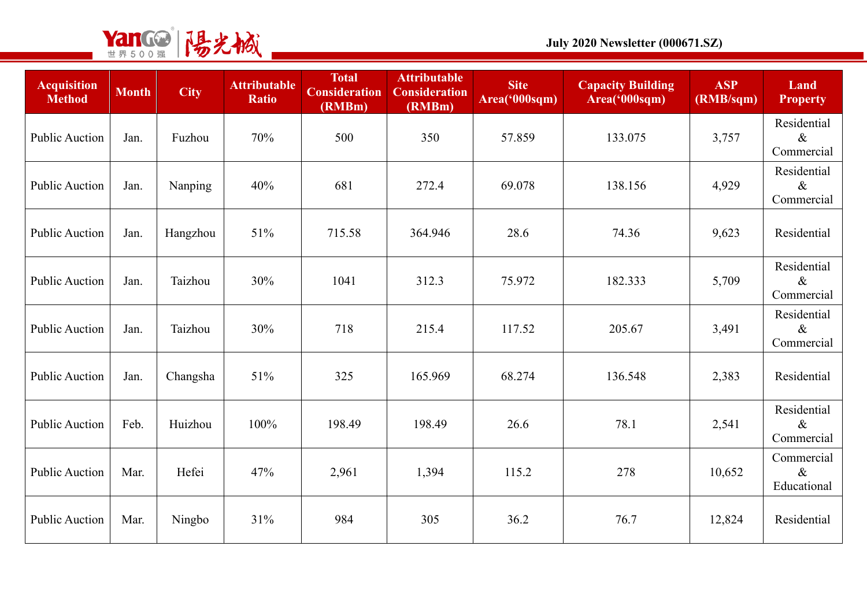

| <b>Acquisition</b><br><b>Method</b> | <b>Month</b> | <b>City</b> | <b>Attributable</b><br><b>Ratio</b> | <b>Total</b><br><b>Consideration</b><br>(RMBm) | <b>Attributable</b><br><b>Consideration</b><br>(RMBm) | <b>Site</b><br>Area('000sqm) | <b>Capacity Building</b><br>Area('000sqm) | <b>ASP</b><br>(RMB/sqm) | Land<br><b>Property</b>           |
|-------------------------------------|--------------|-------------|-------------------------------------|------------------------------------------------|-------------------------------------------------------|------------------------------|-------------------------------------------|-------------------------|-----------------------------------|
| <b>Public Auction</b>               | Jan.         | Fuzhou      | 70%                                 | 500                                            | 350                                                   | 57.859                       | 133.075                                   | 3,757                   | Residential<br>$\&$<br>Commercial |
| <b>Public Auction</b>               | Jan.         | Nanping     | 40%                                 | 681                                            | 272.4                                                 | 69.078                       | 138.156                                   | 4,929                   | Residential<br>$\&$<br>Commercial |
| <b>Public Auction</b>               | Jan.         | Hangzhou    | 51%                                 | 715.58                                         | 364.946                                               | 28.6                         | 74.36                                     | 9,623                   | Residential                       |
| <b>Public Auction</b>               | Jan.         | Taizhou     | 30%                                 | 1041                                           | 312.3                                                 | 75.972                       | 182.333                                   | 5,709                   | Residential<br>$\&$<br>Commercial |
| <b>Public Auction</b>               | Jan.         | Taizhou     | 30%                                 | 718                                            | 215.4                                                 | 117.52                       | 205.67                                    | 3,491                   | Residential<br>$\&$<br>Commercial |
| <b>Public Auction</b>               | Jan.         | Changsha    | 51%                                 | 325                                            | 165.969                                               | 68.274                       | 136.548                                   | 2,383                   | Residential                       |
| <b>Public Auction</b>               | Feb.         | Huizhou     | 100%                                | 198.49                                         | 198.49                                                | 26.6                         | 78.1                                      | 2,541                   | Residential<br>$\&$<br>Commercial |
| <b>Public Auction</b>               | Mar.         | Hefei       | 47%                                 | 2,961                                          | 1,394                                                 | 115.2                        | 278                                       | 10,652                  | Commercial<br>$\&$<br>Educational |
| <b>Public Auction</b>               | Mar.         | Ningbo      | 31%                                 | 984                                            | 305                                                   | 36.2                         | 76.7                                      | 12,824                  | Residential                       |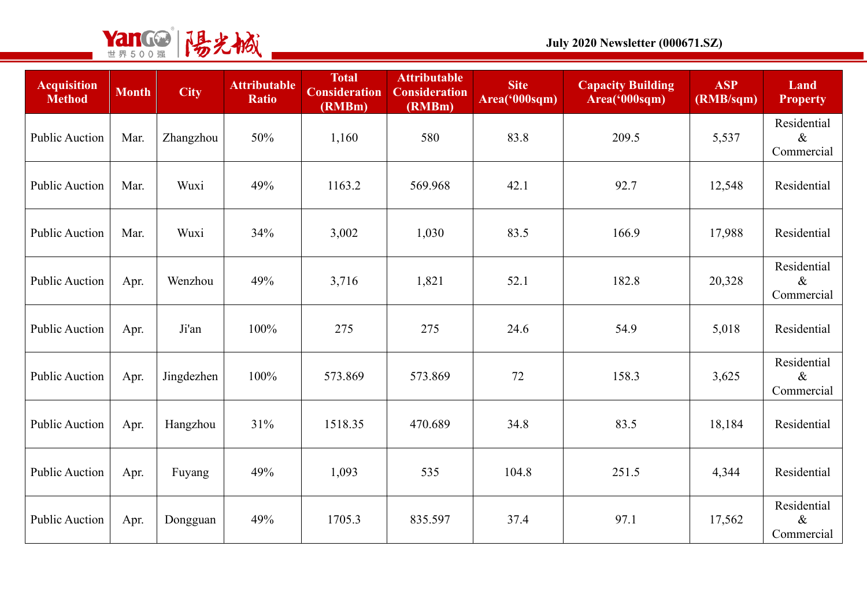

| <b>Acquisition</b><br><b>Method</b> | <b>Month</b> | <b>City</b> | <b>Attributable</b><br><b>Ratio</b> | <b>Total</b><br><b>Consideration</b><br>(RMBm) | <b>Attributable</b><br><b>Consideration</b><br>(RMBm) | <b>Site</b><br>Area('000sqm) | <b>Capacity Building</b><br>Area('000sqm) | <b>ASP</b><br>(RMB/sqm) | Land<br><b>Property</b>           |
|-------------------------------------|--------------|-------------|-------------------------------------|------------------------------------------------|-------------------------------------------------------|------------------------------|-------------------------------------------|-------------------------|-----------------------------------|
| <b>Public Auction</b>               | Mar.         | Zhangzhou   | 50%                                 | 1,160                                          | 580                                                   | 83.8                         | 209.5                                     | 5,537                   | Residential<br>$\&$<br>Commercial |
| <b>Public Auction</b>               | Mar.         | Wuxi        | 49%                                 | 1163.2                                         | 569.968                                               | 42.1                         | 92.7                                      | 12,548                  | Residential                       |
| <b>Public Auction</b>               | Mar.         | Wuxi        | 34%                                 | 3,002                                          | 1,030                                                 | 83.5                         | 166.9                                     | 17,988                  | Residential                       |
| <b>Public Auction</b>               | Apr.         | Wenzhou     | 49%                                 | 3,716                                          | 1,821                                                 | 52.1                         | 182.8                                     | 20,328                  | Residential<br>$\&$<br>Commercial |
| <b>Public Auction</b>               | Apr.         | Ji'an       | 100%                                | 275                                            | 275                                                   | 24.6                         | 54.9                                      | 5,018                   | Residential                       |
| <b>Public Auction</b>               | Apr.         | Jingdezhen  | 100%                                | 573.869                                        | 573.869                                               | 72                           | 158.3                                     | 3,625                   | Residential<br>$\&$<br>Commercial |
| <b>Public Auction</b>               | Apr.         | Hangzhou    | 31%                                 | 1518.35                                        | 470.689                                               | 34.8                         | 83.5                                      | 18,184                  | Residential                       |
| <b>Public Auction</b>               | Apr.         | Fuyang      | 49%                                 | 1,093                                          | 535                                                   | 104.8                        | 251.5                                     | 4,344                   | Residential                       |
| <b>Public Auction</b>               | Apr.         | Dongguan    | 49%                                 | 1705.3                                         | 835.597                                               | 37.4                         | 97.1                                      | 17,562                  | Residential<br>$\&$<br>Commercial |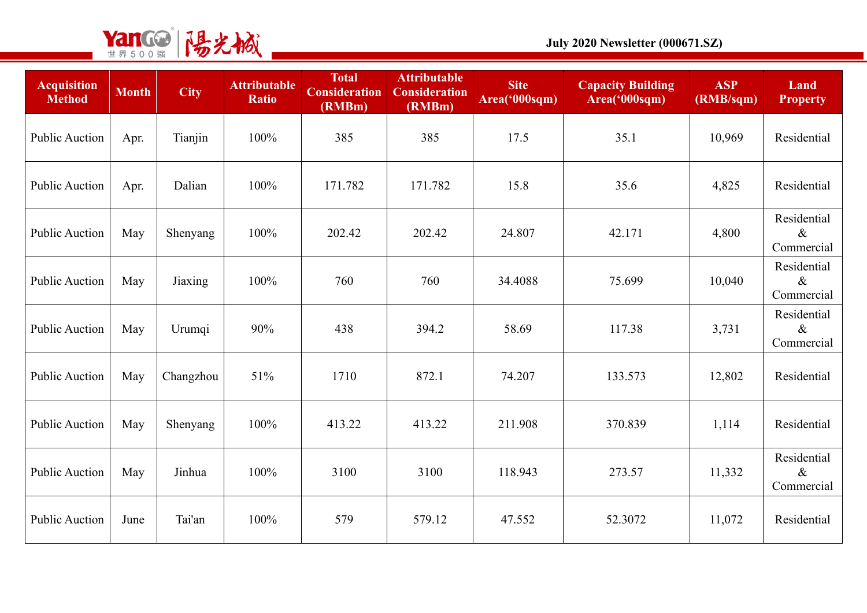

| <b>Acquisition</b><br><b>Method</b> | <b>Month</b> | <b>City</b> | <b>Attributable</b><br><b>Ratio</b> | <b>Total</b><br><b>Consideration</b><br>(RMBm) | <b>Attributable</b><br><b>Consideration</b><br>(RMBm) | <b>Site</b><br>Area('000sqm) | <b>Capacity Building</b><br>Area('000sqm) | <b>ASP</b><br>(RMB/sqm) | Land<br><b>Property</b>           |
|-------------------------------------|--------------|-------------|-------------------------------------|------------------------------------------------|-------------------------------------------------------|------------------------------|-------------------------------------------|-------------------------|-----------------------------------|
| <b>Public Auction</b>               | Apr.         | Tianjin     | 100%                                | 385                                            | 385                                                   | 17.5                         | 35.1                                      | 10,969                  | Residential                       |
| <b>Public Auction</b>               | Apr.         | Dalian      | 100%                                | 171.782                                        | 171.782                                               | 15.8                         | 35.6                                      | 4,825                   | Residential                       |
| <b>Public Auction</b>               | May          | Shenyang    | 100%                                | 202.42                                         | 202.42                                                | 24.807                       | 42.171                                    | 4,800                   | Residential<br>$\&$<br>Commercial |
| <b>Public Auction</b>               | May          | Jiaxing     | 100%                                | 760                                            | 760                                                   | 34.4088                      | 75.699                                    | 10,040                  | Residential<br>$\&$<br>Commercial |
| <b>Public Auction</b>               | May          | Urumqi      | 90%                                 | 438                                            | 394.2                                                 | 58.69                        | 117.38                                    | 3,731                   | Residential<br>$\&$<br>Commercial |
| <b>Public Auction</b>               | May          | Changzhou   | 51%                                 | 1710                                           | 872.1                                                 | 74.207                       | 133.573                                   | 12,802                  | Residential                       |
| <b>Public Auction</b>               | May          | Shenyang    | 100%                                | 413.22                                         | 413.22                                                | 211.908                      | 370.839                                   | 1,114                   | Residential                       |
| <b>Public Auction</b>               | May          | Jinhua      | 100%                                | 3100                                           | 3100                                                  | 118.943                      | 273.57                                    | 11,332                  | Residential<br>$\&$<br>Commercial |
| <b>Public Auction</b>               | June         | Tai'an      | 100%                                | 579                                            | 579.12                                                | 47.552                       | 52.3072                                   | 11,072                  | Residential                       |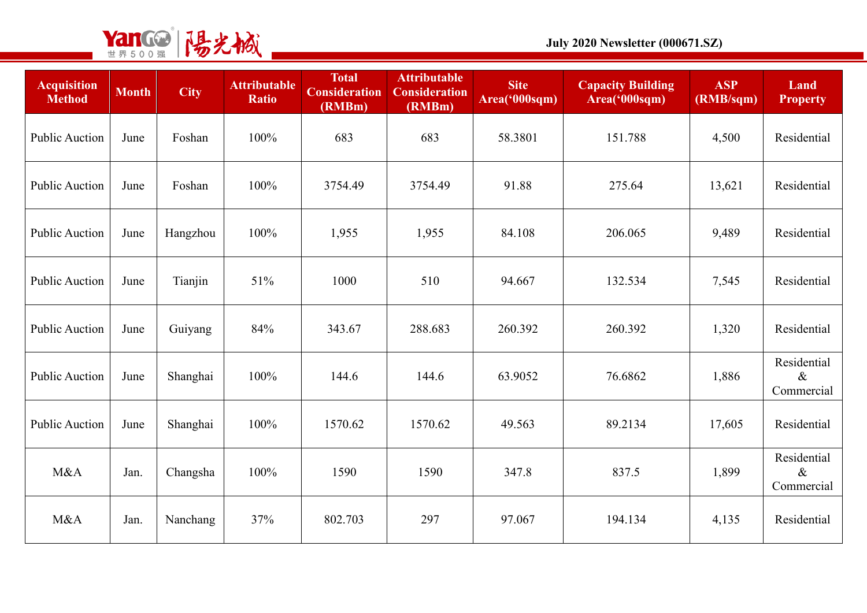

| <b>Acquisition</b><br><b>Method</b> | <b>Month</b> | <b>City</b> | <b>Attributable</b><br><b>Ratio</b> | <b>Total</b><br><b>Consideration</b><br>(RMBm) | <b>Attributable</b><br><b>Consideration</b><br>(RMBm) | <b>Site</b><br>Area('000sqm) | <b>Capacity Building</b><br>Area('000sqm) | <b>ASP</b><br>(RMB/sqm) | Land<br><b>Property</b>           |
|-------------------------------------|--------------|-------------|-------------------------------------|------------------------------------------------|-------------------------------------------------------|------------------------------|-------------------------------------------|-------------------------|-----------------------------------|
| <b>Public Auction</b>               | June         | Foshan      | 100%                                | 683                                            | 683                                                   | 58.3801                      | 151.788                                   | 4,500                   | Residential                       |
| <b>Public Auction</b>               | June         | Foshan      | 100%                                | 3754.49                                        | 3754.49                                               | 91.88                        | 275.64                                    | 13,621                  | Residential                       |
| <b>Public Auction</b>               | June         | Hangzhou    | 100%                                | 1,955                                          | 1,955                                                 | 84.108                       | 206.065                                   | 9,489                   | Residential                       |
| <b>Public Auction</b>               | June         | Tianjin     | 51%                                 | 1000                                           | 510                                                   | 94.667                       | 132.534                                   | 7,545                   | Residential                       |
| <b>Public Auction</b>               | June         | Guiyang     | 84%                                 | 343.67                                         | 288.683                                               | 260.392                      | 260.392                                   | 1,320                   | Residential                       |
| <b>Public Auction</b>               | June         | Shanghai    | 100%                                | 144.6                                          | 144.6                                                 | 63.9052                      | 76.6862                                   | 1,886                   | Residential<br>$\&$<br>Commercial |
| <b>Public Auction</b>               | June         | Shanghai    | 100%                                | 1570.62                                        | 1570.62                                               | 49.563                       | 89.2134                                   | 17,605                  | Residential                       |
| M&A                                 | Jan.         | Changsha    | 100%                                | 1590                                           | 1590                                                  | 347.8                        | 837.5                                     | 1,899                   | Residential<br>$\&$<br>Commercial |
| M&A                                 | Jan.         | Nanchang    | 37%                                 | 802.703                                        | 297                                                   | 97.067                       | 194.134                                   | 4,135                   | Residential                       |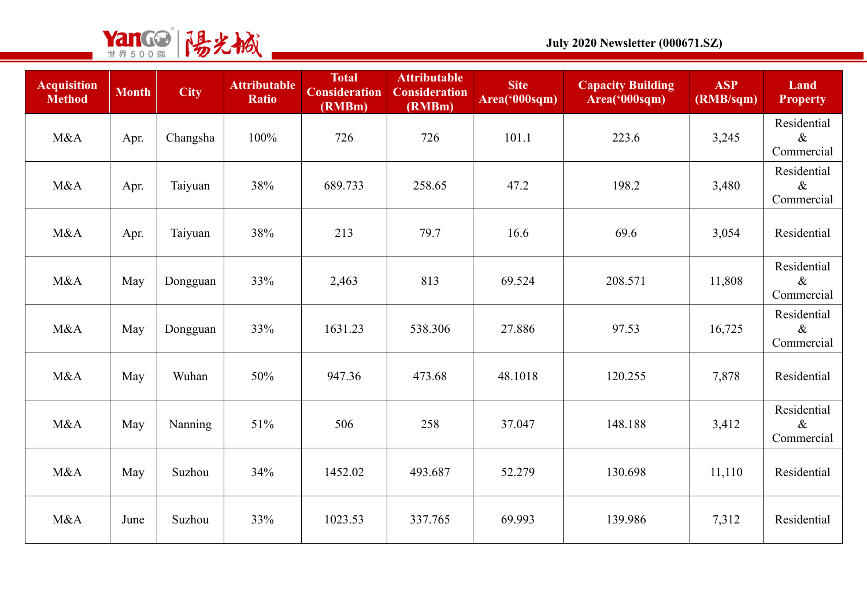

| <b>Acquisition</b><br><b>Method</b> | <b>Month</b> | <b>City</b> | <b>Attributable</b><br><b>Ratio</b> | <b>Total</b><br><b>Consideration</b><br>(RMBm) | <b>Attributable</b><br><b>Consideration</b><br>(RMBm) | <b>Site</b><br>Area('000sqm) | <b>Capacity Building</b><br>Area('000sqm) | <b>ASP</b><br>(RMB/sqm) | Land<br><b>Property</b>           |
|-------------------------------------|--------------|-------------|-------------------------------------|------------------------------------------------|-------------------------------------------------------|------------------------------|-------------------------------------------|-------------------------|-----------------------------------|
| M&A                                 | Apr.         | Changsha    | 100%                                | 726                                            | 726                                                   | 101.1                        | 223.6                                     | 3,245                   | Residential<br>$\&$<br>Commercial |
| M&A                                 | Apr.         | Taiyuan     | 38%                                 | 689.733                                        | 258.65                                                | 47.2                         | 198.2                                     | 3,480                   | Residential<br>$\&$<br>Commercial |
| M&A                                 | Apr.         | Taiyuan     | 38%                                 | 213                                            | 79.7                                                  | 16.6                         | 69.6                                      | 3,054                   | Residential                       |
| M&A                                 | May          | Dongguan    | 33%                                 | 2,463                                          | 813                                                   | 69.524                       | 208.571                                   | 11,808                  | Residential<br>$\&$<br>Commercial |
| M&A                                 | May          | Dongguan    | 33%                                 | 1631.23                                        | 538.306                                               | 27.886                       | 97.53                                     | 16,725                  | Residential<br>$\&$<br>Commercial |
| M&A                                 | May          | Wuhan       | 50%                                 | 947.36                                         | 473.68                                                | 48.1018                      | 120.255                                   | 7,878                   | Residential                       |
| M&A                                 | May          | Nanning     | 51%                                 | 506                                            | 258                                                   | 37.047                       | 148.188                                   | 3,412                   | Residential<br>$\&$<br>Commercial |
| M&A                                 | May          | Suzhou      | 34%                                 | 1452.02                                        | 493.687                                               | 52.279                       | 130.698                                   | 11,110                  | Residential                       |
| M&A                                 | June         | Suzhou      | 33%                                 | 1023.53                                        | 337.765                                               | 69.993                       | 139.986                                   | 7,312                   | Residential                       |